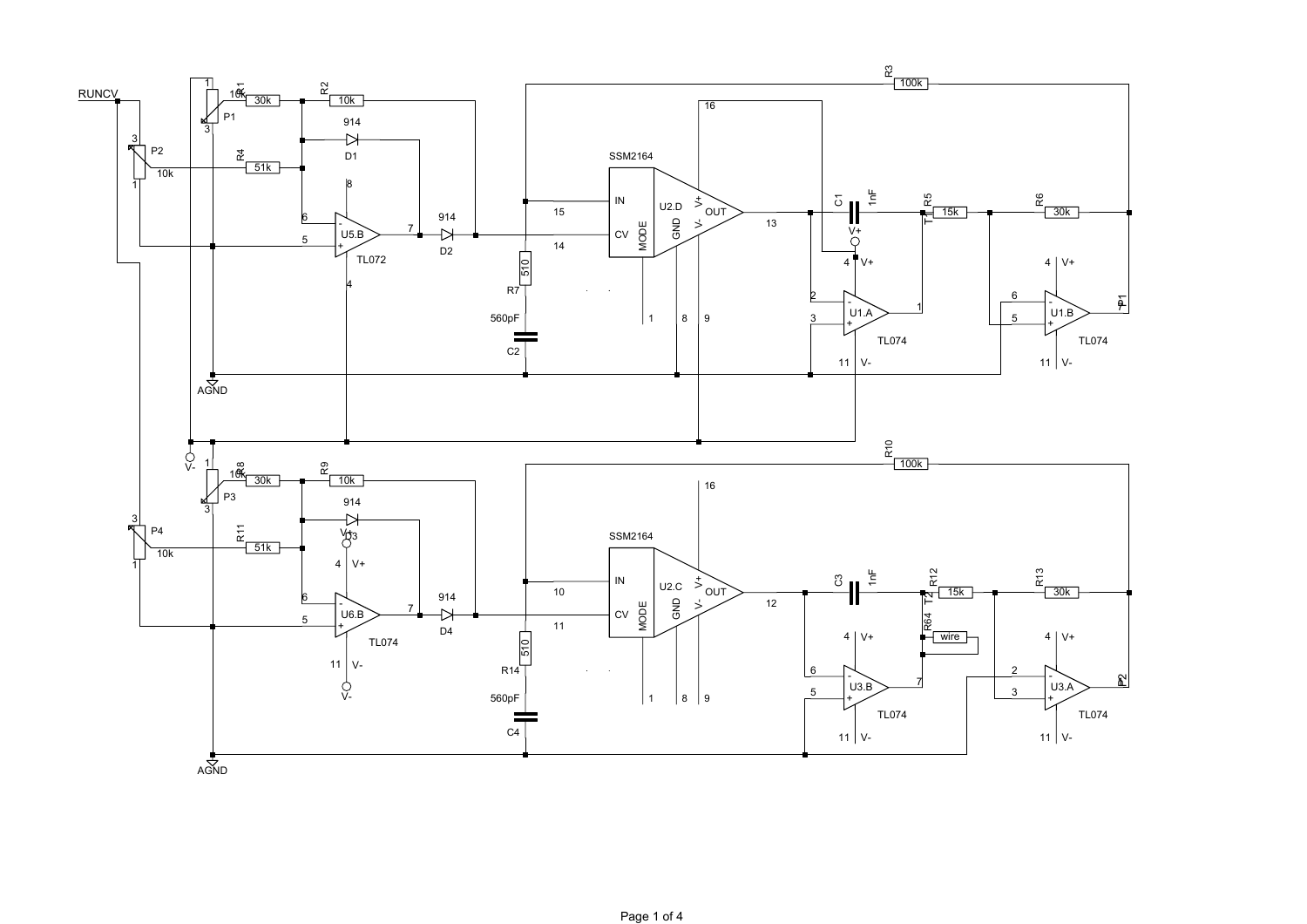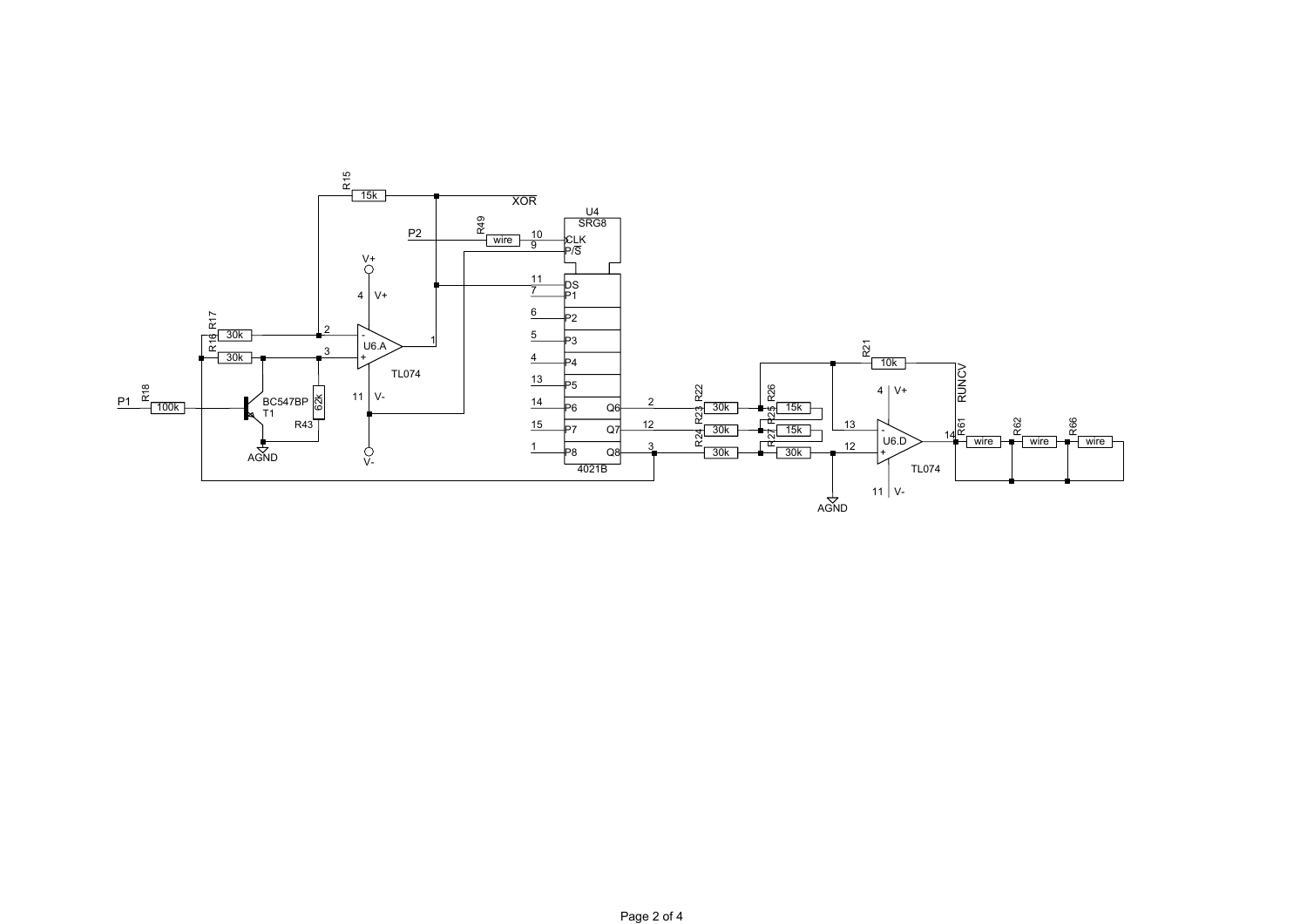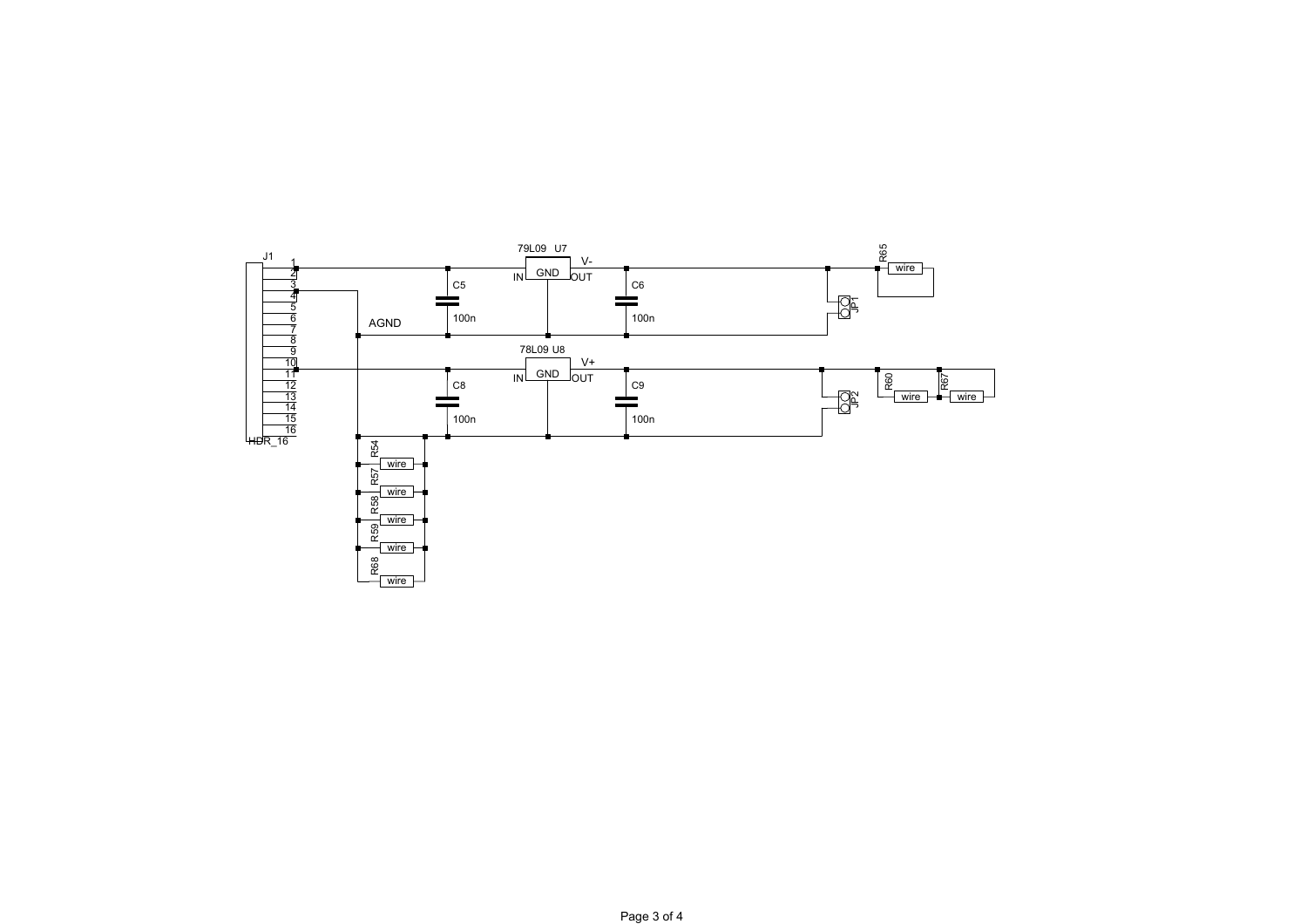